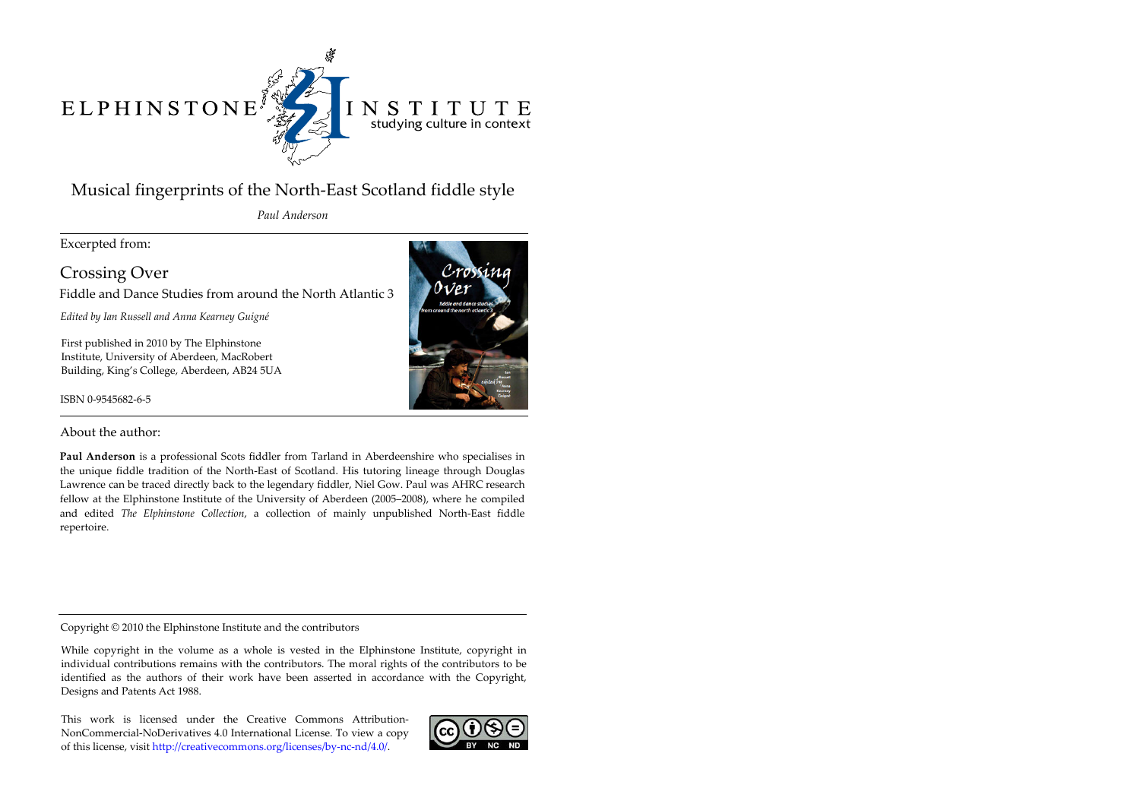# $\begin{array}{c|c} \multicolumn{3}{c}{\textbf{ELPHINSTONE}}^{\textbf{*}}\\ \end{array}$



## INSTITUTE studying culture in context

# Musical fingerprints of the North-East Scotland fiddle style

*Paul Anderson*

Excerpted from:

Crossing Over Fiddle and Dance Studies from around the North Atlantic 3

*Edited by Ian Russell and Anna Kearney Guigné*

First published in 2010 by The Elphinstone Institute, University of Aberdeen, MacRobert Building, King's College, Aberdeen, AB24 5UA

ISBN 0-9545682-6-5



About the author:

**Paul Anderson** is a professional Scots fiddler from Tarland in Aberdeenshire who specialises in the unique fiddle tradition of the North-East of Scotland. His tutoring lineage through Douglas Lawrence can be traced directly back to the legendary fiddler, Niel Gow. Paul was AHRC research fellow at the Elphinstone Institute of the University of Aberdeen (2005–2008), where he compiled and edited *The Elphinstone Collection*, a collection of mainly unpublished North-East fiddle repertoire.

Copyright © 2010 the Elphinstone Institute and the contributors

While copyright in the volume as a whole is vested in the Elphinstone Institute, copyright in individual contributions remains with the contributors. The moral rights of the contributors to be identified as the authors of their work have been asserted in accordance with the Copyright, Designs and Patents Act 1988.

This work is licensed under the Creative Commons Attribution-NonCommercial-NoDerivatives 4.0 International License. To view a copy of this license, visit http://creativecommons.org/licenses/by-nc-nd/4.0/.

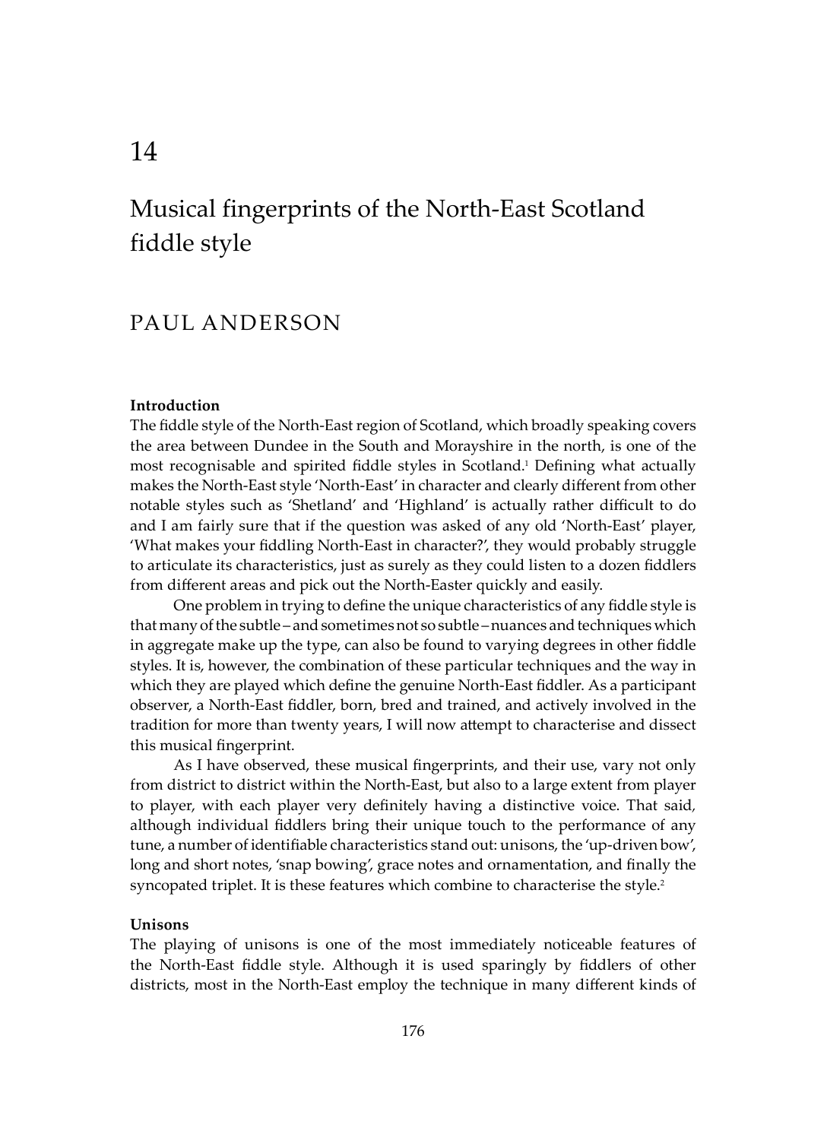## Musical fingerprints of the North-East Scotland fiddle style

### PAUL ANDERSON

#### **Introduction**

The fiddle style of the North-East region of Scotland, which broadly speaking covers the area between Dundee in the South and Morayshire in the north, is one of the most recognisable and spirited fiddle styles in Scotland.1 Defining what actually makes the North-East style 'North-East' in character and clearly different from other notable styles such as 'Shetland' and 'Highland' is actually rather difficult to do and I am fairly sure that if the question was asked of any old 'North-East' player, 'What makes your fiddling North-East in character?', they would probably struggle to articulate its characteristics, just as surely as they could listen to a dozen fiddlers from different areas and pick out the North-Easter quickly and easily.

One problem in trying to define the unique characteristics of any fiddle style is that many of the subtle – and sometimes not so subtle – nuances and techniques which in aggregate make up the type, can also be found to varying degrees in other fiddle styles. It is, however, the combination of these particular techniques and the way in which they are played which define the genuine North-East fiddler. As a participant observer, a North-East fiddler, born, bred and trained, and actively involved in the tradition for more than twenty years, I will now attempt to characterise and dissect this musical fingerprint.

As I have observed, these musical fingerprints, and their use, vary not only from district to district within the North-East, but also to a large extent from player to player, with each player very definitely having a distinctive voice. That said*,*  although individual fiddlers bring their unique touch to the performance of any tune, a number of identifiable characteristics stand out: unisons, the 'up-driven bow', long and short notes, 'snap bowing', grace notes and ornamentation, and finally the syncopated triplet. It is these features which combine to characterise the style.<sup>2</sup>

#### **Unisons**

The playing of unisons is one of the most immediately noticeable features of the North-East fiddle style. Although it is used sparingly by fiddlers of other districts, most in the North-East employ the technique in many different kinds of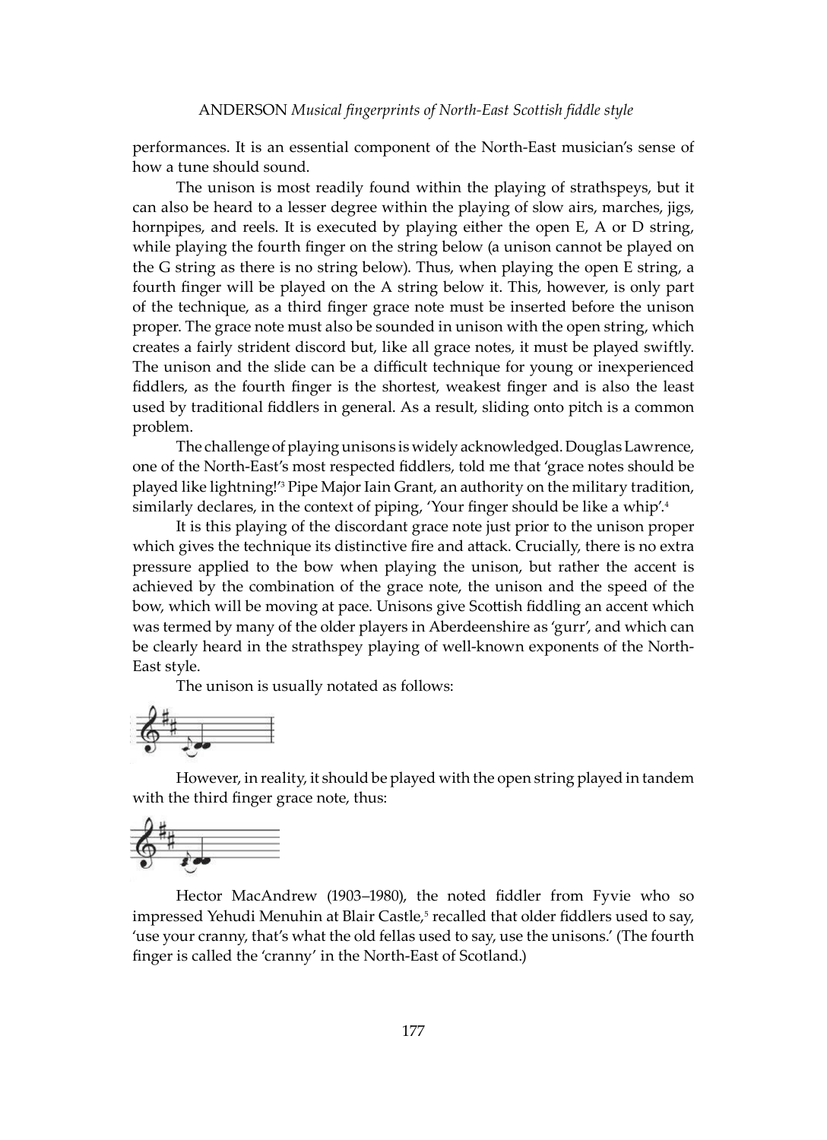performances. It is an essential component of the North-East musician's sense of how a tune should sound.

The unison is most readily found within the playing of strathspeys, but it can also be heard to a lesser degree within the playing of slow airs, marches, jigs, hornpipes, and reels. It is executed by playing either the open E, A or D string, while playing the fourth finger on the string below (a unison cannot be played on the G string as there is no string below). Thus, when playing the open E string, a fourth finger will be played on the A string below it. This, however, is only part of the technique, as a third finger grace note must be inserted before the unison proper. The grace note must also be sounded in unison with the open string, which creates a fairly strident discord but, like all grace notes, it must be played swiftly. The unison and the slide can be a difficult technique for young or inexperienced fiddlers, as the fourth finger is the shortest, weakest finger and is also the least used by traditional fiddlers in general. As a result, sliding onto pitch is a common problem.

The challenge of playing unisons is widely acknowledged. Douglas Lawrence, one of the North-East's most respected fiddlers, told me that 'grace notes should be played like lightning!'3 Pipe Major Iain Grant, an authority on the military tradition, similarly declares, in the context of piping, 'Your finger should be like a whip'.<sup>4</sup>

It is this playing of the discordant grace note just prior to the unison proper which gives the technique its distinctive fire and attack. Crucially, there is no extra pressure applied to the bow when playing the unison, but rather the accent is achieved by the combination of the grace note, the unison and the speed of the bow, which will be moving at pace. Unisons give Scottish fiddling an accent which was termed by many of the older players in Aberdeenshire as 'gurr', and which can be clearly heard in the strathspey playing of well-known exponents of the North-East style.

The unison is usually notated as follows:



However, in reality, it should be played with the open string played in tandem with the third finger grace note, thus:



Hector MacAndrew (1903–1980), the noted fiddler from Fyvie who so impressed Yehudi Menuhin at Blair Castle,<sup>5</sup> recalled that older fiddlers used to say, 'use your cranny, that's what the old fellas used to say, use the unisons.' (The fourth finger is called the 'cranny' in the North-East of Scotland.)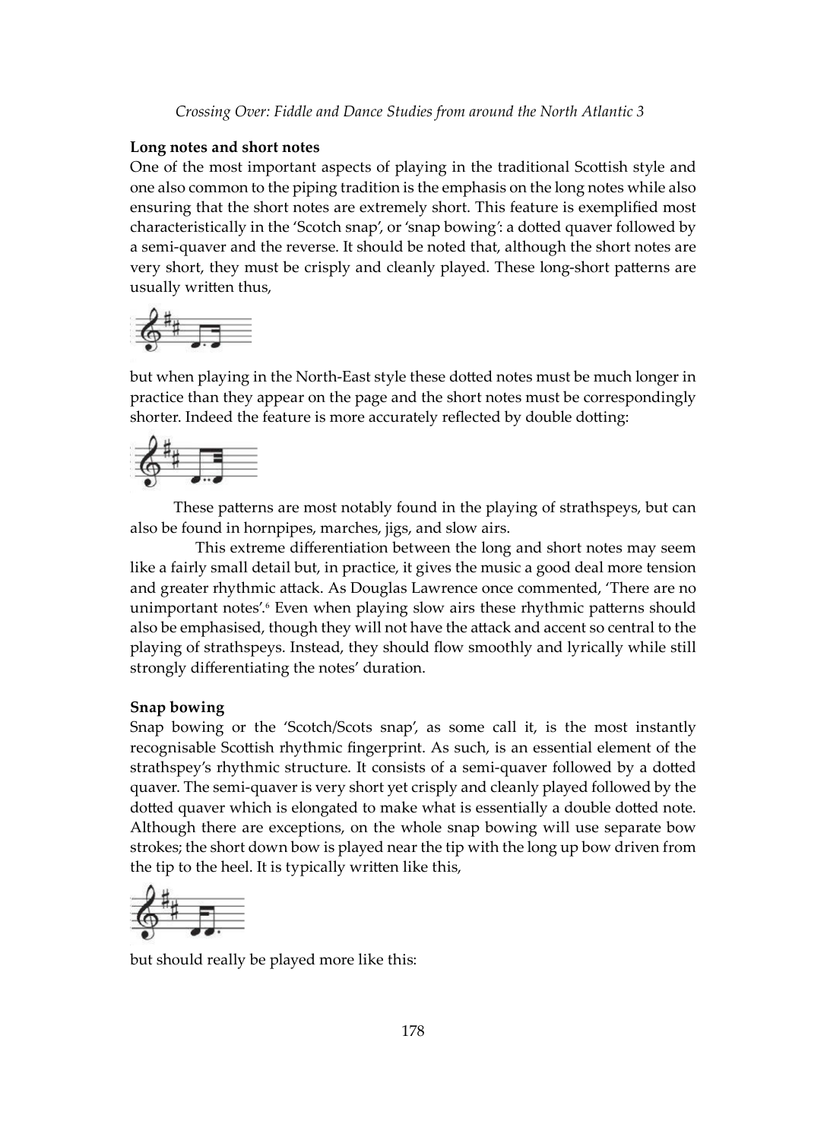#### **Long notes and short notes**

One of the most important aspects of playing in the traditional Scottish style and one also common to the piping tradition is the emphasis on the long notes while also ensuring that the short notes are extremely short. This feature is exemplified most characteristically in the 'Scotch snap', or 'snap bowing*'*: a dotted quaver followed by a semi-quaver and the reverse. It should be noted that, although the short notes are very short, they must be crisply and cleanly played. These long-short patterns are usually written thus,

$$
\frac{2}{9}
$$

but when playing in the North-East style these dotted notes must be much longer in practice than they appear on the page and the short notes must be correspondingly shorter. Indeed the feature is more accurately reflected by double dotting:



These patterns are most notably found in the playing of strathspeys, but can also be found in hornpipes, marches, jigs, and slow airs.

This extreme differentiation between the long and short notes may seem like a fairly small detail but, in practice, it gives the music a good deal more tension and greater rhythmic attack. As Douglas Lawrence once commented, 'There are no unimportant notes'.6 Even when playing slow airs these rhythmic patterns should also be emphasised, though they will not have the attack and accent so central to the playing of strathspeys. Instead, they should flow smoothly and lyrically while still strongly differentiating the notes' duration.

#### **Snap bowing**

Snap bowing or the 'Scotch/Scots snap', as some call it, is the most instantly recognisable Scottish rhythmic fingerprint. As such, is an essential element of the strathspey's rhythmic structure. It consists of a semi-quaver followed by a dotted quaver. The semi-quaver is very short yet crisply and cleanly played followed by the dotted quaver which is elongated to make what is essentially a double dotted note. Although there are exceptions, on the whole snap bowing will use separate bow strokes; the short down bow is played near the tip with the long up bow driven from the tip to the heel. It is typically written like this,



but should really be played more like this: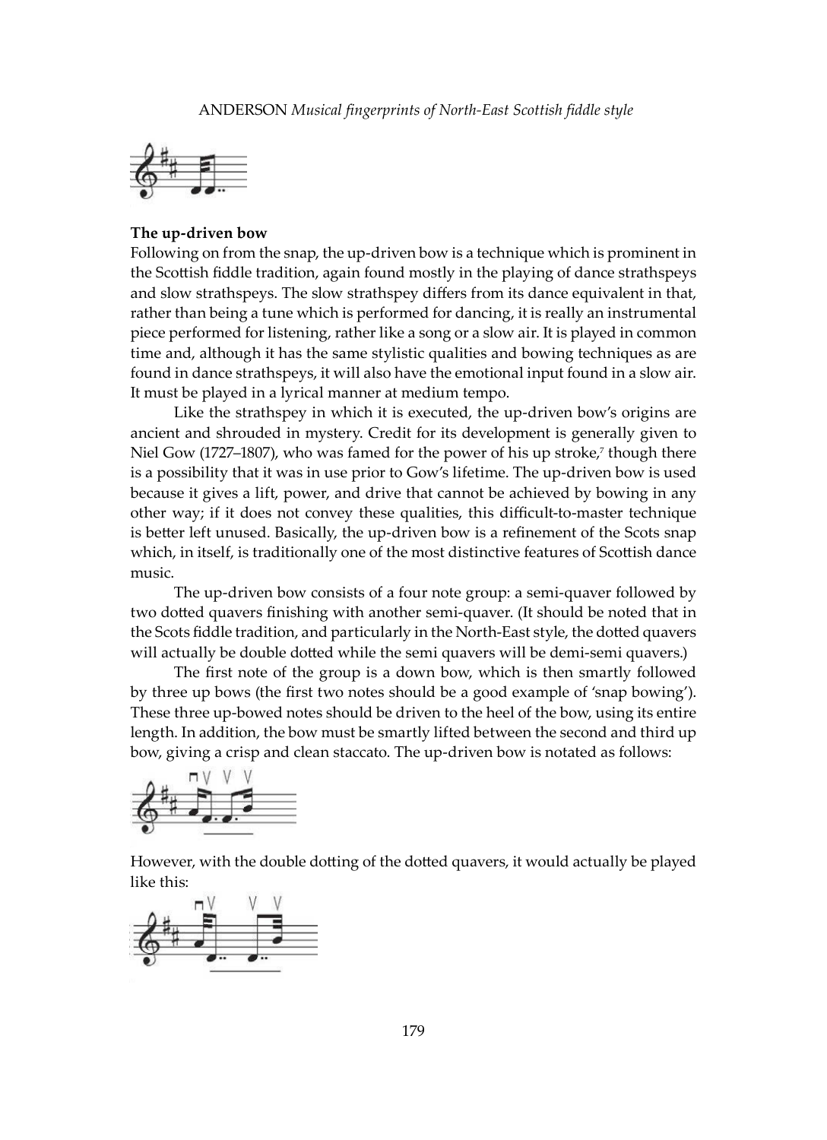

#### **The up-driven bow**

Following on from the snap, the up-driven bow is a technique which is prominent in the Scottish fiddle tradition, again found mostly in the playing of dance strathspeys and slow strathspeys. The slow strathspey differs from its dance equivalent in that, rather than being a tune which is performed for dancing, it is really an instrumental piece performed for listening, rather like a song or a slow air. It is played in common time and, although it has the same stylistic qualities and bowing techniques as are found in dance strathspeys, it will also have the emotional input found in a slow air. It must be played in a lyrical manner at medium tempo.

Like the strathspey in which it is executed, the up-driven bow's origins are ancient and shrouded in mystery. Credit for its development is generally given to Niel Gow (1727–1807), who was famed for the power of his up stroke,7 though there is a possibility that it was in use prior to Gow's lifetime. The up-driven bow is used because it gives a lift, power, and drive that cannot be achieved by bowing in any other way; if it does not convey these qualities, this difficult-to-master technique is better left unused. Basically, the up-driven bow is a refinement of the Scots snap which, in itself, is traditionally one of the most distinctive features of Scottish dance music.

The up-driven bow consists of a four note group: a semi-quaver followed by two dotted quavers finishing with another semi-quaver. (It should be noted that in the Scots fiddle tradition, and particularly in the North-East style, the dotted quavers will actually be double dotted while the semi quavers will be demi-semi quavers.)

The first note of the group is a down bow, which is then smartly followed by three up bows (the first two notes should be a good example of 'snap bowing'). These three up-bowed notes should be driven to the heel of the bow, using its entire length. In addition, the bow must be smartly lifted between the second and third up bow, giving a crisp and clean staccato. The up-driven bow is notated as follows:



However, with the double dotting of the dotted quavers, it would actually be played like this:

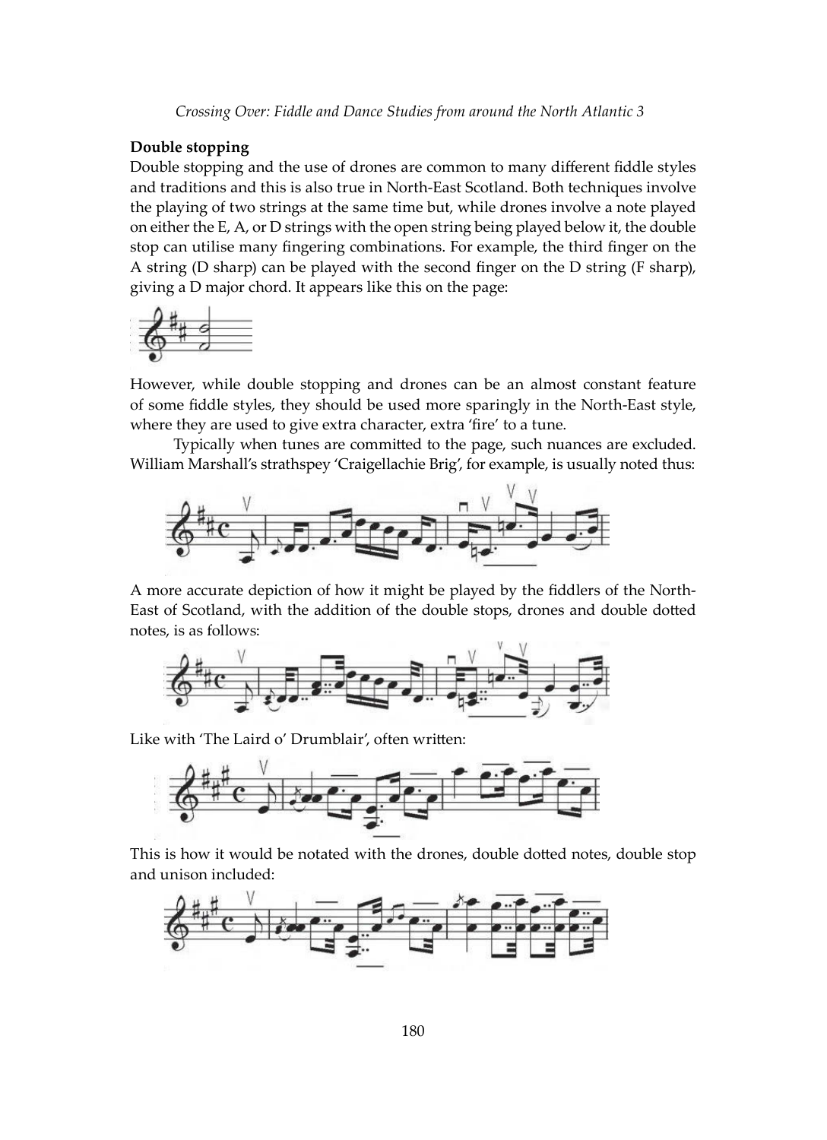#### **Double stopping**

Double stopping and the use of drones are common to many different fiddle styles and traditions and this is also true in North-East Scotland. Both techniques involve the playing of two strings at the same time but, while drones involve a note played on either the E, A, or D strings with the open string being played below it, the double stop can utilise many fingering combinations. For example, the third finger on the A string (D sharp) can be played with the second finger on the D string (F sharp), giving a D major chord. It appears like this on the page:



However, while double stopping and drones can be an almost constant feature of some fiddle styles, they should be used more sparingly in the North-East style, where they are used to give extra character, extra 'fire' to a tune.

Typically when tunes are committed to the page, such nuances are excluded. William Marshall's strathspey 'Craigellachie Brig', for example, is usually noted thus:



A more accurate depiction of how it might be played by the fiddlers of the North-East of Scotland, with the addition of the double stops, drones and double dotted notes, is as follows:



Like with 'The Laird o' Drumblair', often written:



This is how it would be notated with the drones, double dotted notes, double stop and unison included:

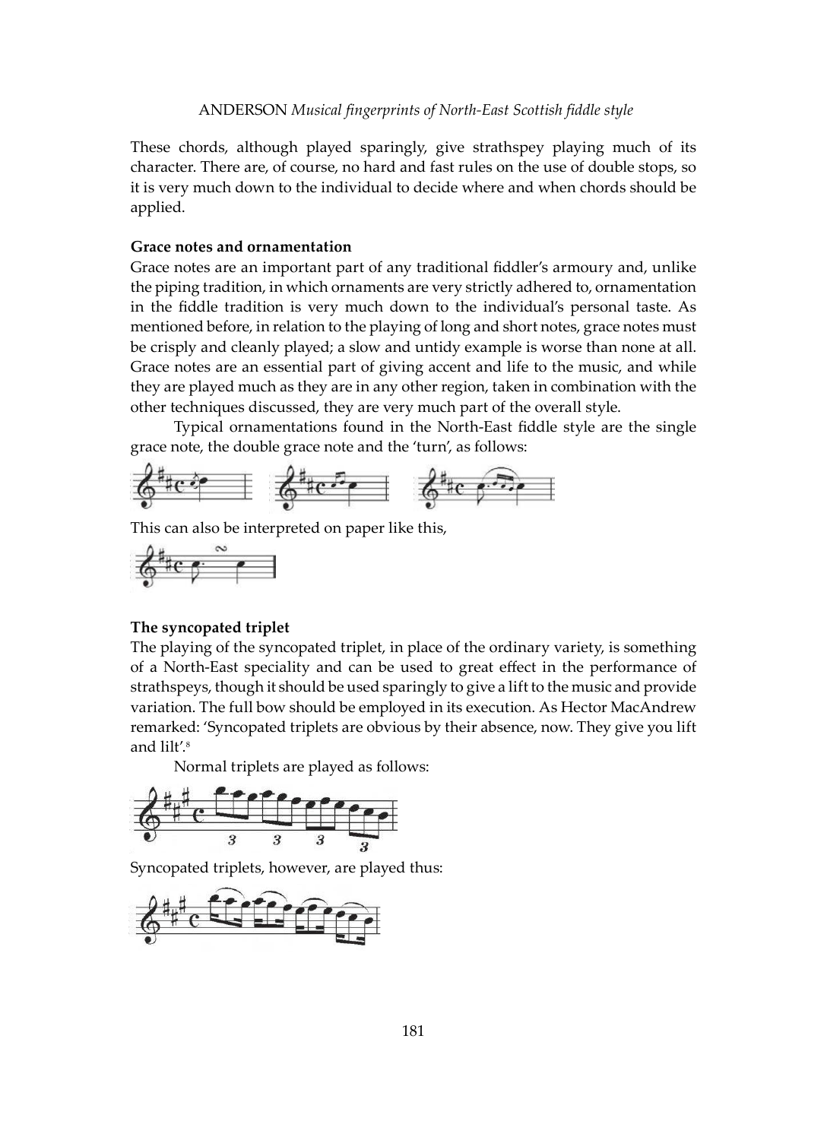These chords, although played sparingly, give strathspey playing much of its character. There are, of course, no hard and fast rules on the use of double stops, so it is very much down to the individual to decide where and when chords should be applied.

#### **Grace notes and ornamentation**

Grace notes are an important part of any traditional fiddler's armoury and, unlike the piping tradition, in which ornaments are very strictly adhered to, ornamentation in the fiddle tradition is very much down to the individual's personal taste. As mentioned before, in relation to the playing of long and short notes, grace notes must be crisply and cleanly played; a slow and untidy example is worse than none at all. Grace notes are an essential part of giving accent and life to the music, and while they are played much as they are in any other region, taken in combination with the other techniques discussed, they are very much part of the overall style.

Typical ornamentations found in the North-East fiddle style are the single grace note, the double grace note and the 'turn', as follows:



This can also be interpreted on paper like this,



#### **The syncopated triplet**

The playing of the syncopated triplet, in place of the ordinary variety, is something of a North-East speciality and can be used to great effect in the performance of strathspeys, though it should be used sparingly to give a lift to the music and provide variation. The full bow should be employed in its execution. As Hector MacAndrew remarked: 'Syncopated triplets are obvious by their absence, now. They give you lift and lilt'.<sup>8</sup>

Normal triplets are played as follows:



Syncopated triplets, however, are played thus:

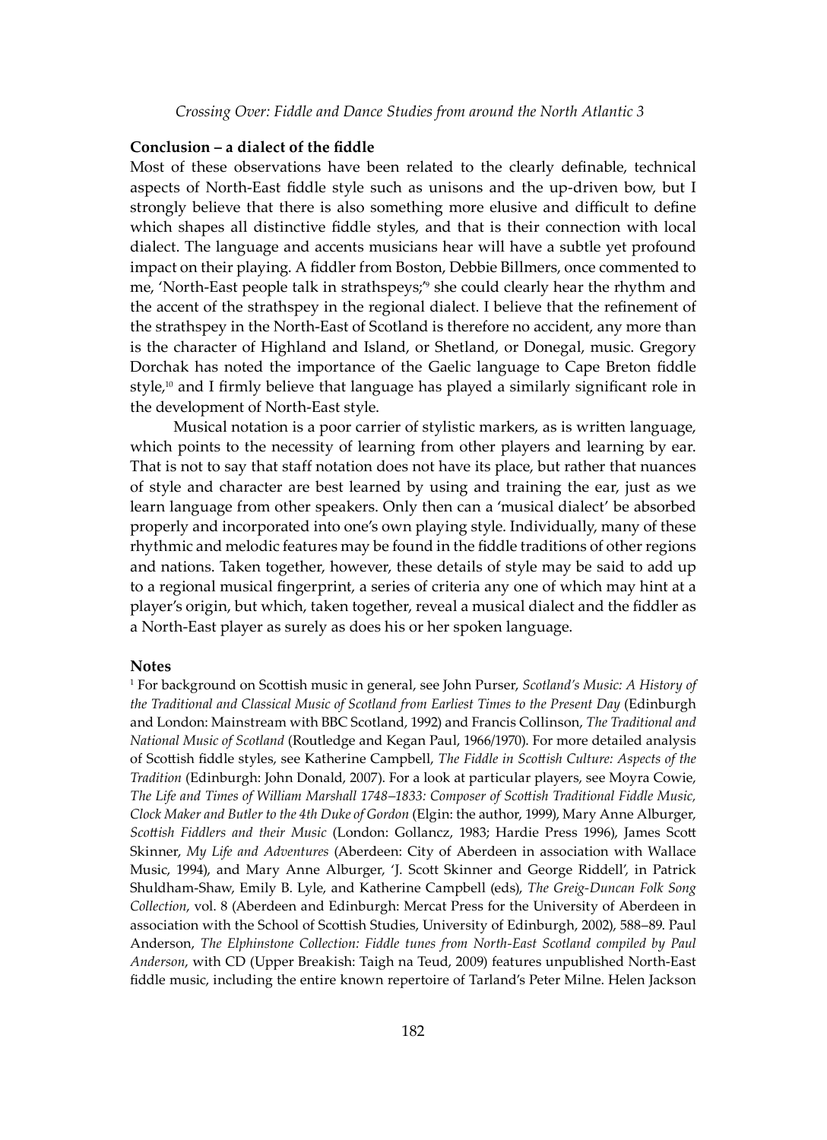#### **Conclusion – a dialect of the fiddle**

Most of these observations have been related to the clearly definable, technical aspects of North-East fiddle style such as unisons and the up-driven bow, but I strongly believe that there is also something more elusive and difficult to define which shapes all distinctive fiddle styles, and that is their connection with local dialect. The language and accents musicians hear will have a subtle yet profound impact on their playing. A fiddler from Boston, Debbie Billmers, once commented to me, 'North-East people talk in strathspeys;'<sup>9</sup> she could clearly hear the rhythm and the accent of the strathspey in the regional dialect. I believe that the refinement of the strathspey in the North-East of Scotland is therefore no accident, any more than is the character of Highland and Island, or Shetland, or Donegal, music. Gregory Dorchak has noted the importance of the Gaelic language to Cape Breton fiddle style,<sup>10</sup> and I firmly believe that language has played a similarly significant role in the development of North-East style.

Musical notation is a poor carrier of stylistic markers, as is written language, which points to the necessity of learning from other players and learning by ear. That is not to say that staff notation does not have its place, but rather that nuances of style and character are best learned by using and training the ear, just as we learn language from other speakers. Only then can a 'musical dialect' be absorbed properly and incorporated into one's own playing style. Individually, many of these rhythmic and melodic features may be found in the fiddle traditions of other regions and nations. Taken together, however, these details of style may be said to add up to a regional musical fingerprint, a series of criteria any one of which may hint at a player's origin, but which, taken together, reveal a musical dialect and the fiddler as a North-East player as surely as does his or her spoken language.

#### **Notes**

1 For background on Scottish music in general, see John Purser, *Scotland's Music: A History of the Traditional and Classical Music of Scotland from Earliest Times to the Present Day* (Edinburgh and London: Mainstream with BBC Scotland, 1992) and Francis Collinson, *The Traditional and National Music of Scotland* (Routledge and Kegan Paul, 1966/1970). For more detailed analysis of Scottish fiddle styles, see Katherine Campbell, *The Fiddle in Scottish Culture: Aspects of the Tradition* (Edinburgh: John Donald, 2007). For a look at particular players, see Moyra Cowie, *The Life and Times of William Marshall 1748–1833: Composer of Scottish Traditional Fiddle Music, Clock Maker and Butler to the 4th Duke of Gordon* (Elgin: the author, 1999), Mary Anne Alburger, *Scottish Fiddlers and their Music* (London: Gollancz, 1983; Hardie Press 1996), James Scott Skinner, *My Life and Adventures* (Aberdeen: City of Aberdeen in association with Wallace Music, 1994), and Mary Anne Alburger, 'J. Scott Skinner and George Riddell', in Patrick Shuldham-Shaw, Emily B. Lyle, and Katherine Campbell (eds), *The Greig-Duncan Folk Song Collection*, vol. 8 (Aberdeen and Edinburgh: Mercat Press for the University of Aberdeen in association with the School of Scottish Studies, University of Edinburgh, 2002), 588–89. Paul Anderson, *The Elphinstone Collection: Fiddle tunes from North-East Scotland compiled by Paul Anderson*, with CD (Upper Breakish: Taigh na Teud, 2009) features unpublished North-East fiddle music, including the entire known repertoire of Tarland's Peter Milne. Helen Jackson